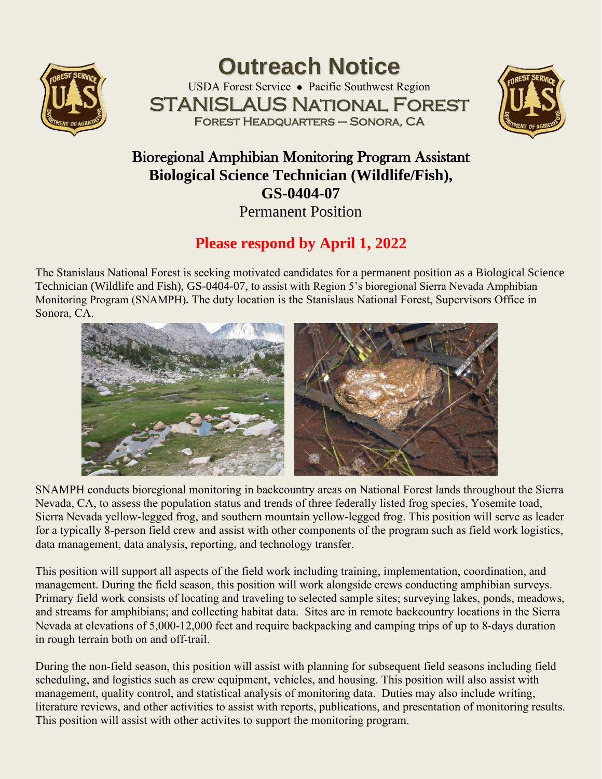

**Outreach Notice** USDA Forest Service ⚫ Pacific Southwest Region STANISLAUS National Forest Forest Headquarters – Sonora, CA



## Bioregional Amphibian Monitoring Program Assistant **Biological Science Technician (Wildlife/Fish), GS-0404-07** Permanent Position

# **Please respond by April 1, 2022**

The Stanislaus National Forest is seeking motivated candidates for a permanent position as a Biological Science Technician (Wildlife and Fish), GS-0404-07, to assist with Region 5's bioregional Sierra Nevada Amphibian Monitoring Program (SNAMPH)**.** The duty location is the Stanislaus National Forest, Supervisors Office in Sonora, CA.



SNAMPH conducts bioregional monitoring in backcountry areas on National Forest lands throughout the Sierra Nevada, CA, to assess the population status and trends of three federally listed frog species, Yosemite toad, Sierra Nevada yellow-legged frog, and southern mountain yellow-legged frog. This position will serve as leader for a typically 8-person field crew and assist with other components of the program such as field work logistics, data management, data analysis, reporting, and technology transfer.

This position will support all aspects of the field work including training, implementation, coordination, and management. During the field season, this position will work alongside crews conducting amphibian surveys. Primary field work consists of locating and traveling to selected sample sites; surveying lakes, ponds, meadows, and streams for amphibians; and collecting habitat data. Sites are in remote backcountry locations in the Sierra Nevada at elevations of 5,000-12,000 feet and require backpacking and camping trips of up to 8-days duration in rough terrain both on and off-trail.

During the non-field season, this position will assist with planning for subsequent field seasons including field scheduling, and logistics such as crew equipment, vehicles, and housing. This position will also assist with management, quality control, and statistical analysis of monitoring data. Duties may also include writing, literature reviews, and other activities to assist with reports, publications, and presentation of monitoring results. This position will assist with other activites to support the monitoring program.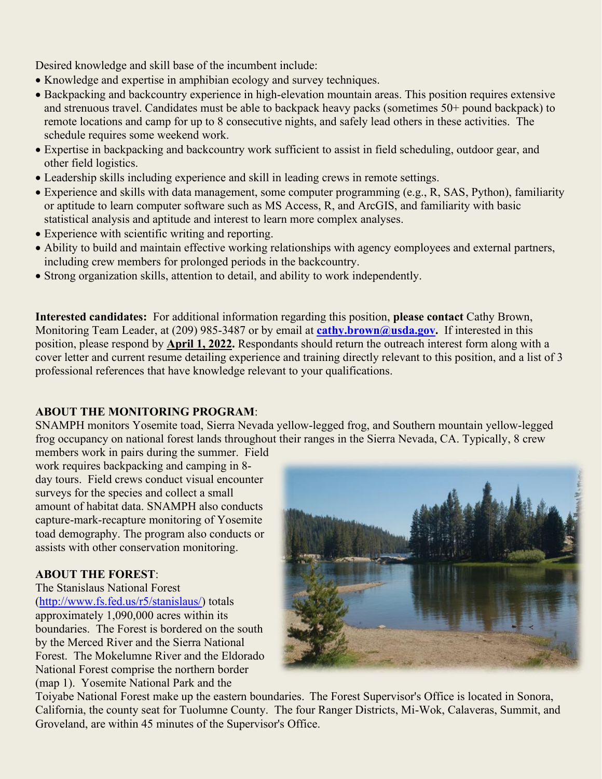Desired knowledge and skill base of the incumbent include:

- Knowledge and expertise in amphibian ecology and survey techniques.
- Backpacking and backcountry experience in high-elevation mountain areas. This position requires extensive and strenuous travel. Candidates must be able to backpack heavy packs (sometimes 50+ pound backpack) to remote locations and camp for up to 8 consecutive nights, and safely lead others in these activities. The schedule requires some weekend work.
- Expertise in backpacking and backcountry work sufficient to assist in field scheduling, outdoor gear, and other field logistics.
- Leadership skills including experience and skill in leading crews in remote settings.
- Experience and skills with data management, some computer programming (e.g., R, SAS, Python), familiarity or aptitude to learn computer software such as MS Access, R, and ArcGIS, and familiarity with basic statistical analysis and aptitude and interest to learn more complex analyses.
- Experience with scientific writing and reporting.
- Ability to build and maintain effective working relationships with agency eomployees and external partners, including crew members for prolonged periods in the backcountry.
- Strong organization skills, attention to detail, and ability to work independently.

**Interested candidates:** For additional information regarding this position, **please contact** Cathy Brown, Monitoring Team Leader, at (209) 985-3487 or by email at **[cathy.brown@usda.gov.](mailto:cathy.brown@usda.gov)** If interested in this position, please respond by **April 1, 2022.** Respondants should return the outreach interest form along with a cover letter and current resume detailing experience and training directly relevant to this position, and a list of 3 professional references that have knowledge relevant to your qualifications.

#### **ABOUT THE MONITORING PROGRAM**:

SNAMPH monitors Yosemite toad, Sierra Nevada yellow-legged frog, and Southern mountain yellow-legged frog occupancy on national forest lands throughout their ranges in the Sierra Nevada, CA. Typically, 8 crew

members work in pairs during the summer. Field work requires backpacking and camping in 8 day tours. Field crews conduct visual encounter surveys for the species and collect a small amount of habitat data. SNAMPH also conducts capture-mark-recapture monitoring of Yosemite toad demography. The program also conducts or assists with other conservation monitoring.

### **ABOUT THE FOREST**:

The Stanislaus National Forest [\(http://www.fs.fed.us/r5/stanislaus/\)](http://www.fs.fed.us/r5/stanislaus/) totals approximately 1,090,000 acres within its boundaries. The Forest is bordered on the south by the Merced River and the Sierra National Forest. The Mokelumne River and the Eldorado National Forest comprise the northern border (map 1). Yosemite National Park and the



Toiyabe National Forest make up the eastern boundaries. The Forest Supervisor's Office is located in Sonora, California, the county seat for Tuolumne County. The four Ranger Districts, Mi-Wok, Calaveras, Summit, and Groveland, are within 45 minutes of the Supervisor's Office.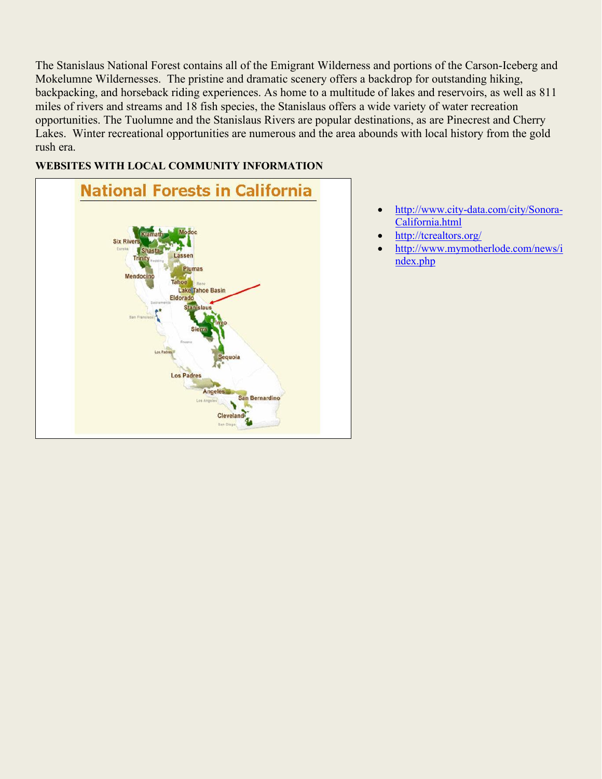The Stanislaus National Forest contains all of the Emigrant Wilderness and portions of the Carson-Iceberg and Mokelumne Wildernesses. The pristine and dramatic scenery offers a backdrop for outstanding hiking, backpacking, and horseback riding experiences. As home to a multitude of lakes and reservoirs, as well as 811 miles of rivers and streams and 18 fish species, the Stanislaus offers a wide variety of water recreation opportunities. The Tuolumne and the Stanislaus Rivers are popular destinations, as are Pinecrest and Cherry Lakes. Winter recreational opportunities are numerous and the area abounds with local history from the gold rush era.

#### **WEBSITES WITH LOCAL COMMUNITY INFORMATION**



- [http://www.city-data.com/city/Sonora-](http://www.city-data.com/city/Sonora-California.html)[California.html](http://www.city-data.com/city/Sonora-California.html)
- <http://tcrealtors.org/>
- [http://www.mymotherlode.com/news/i](http://www.mymotherlode.com/news/index.php) [ndex.php](http://www.mymotherlode.com/news/index.php)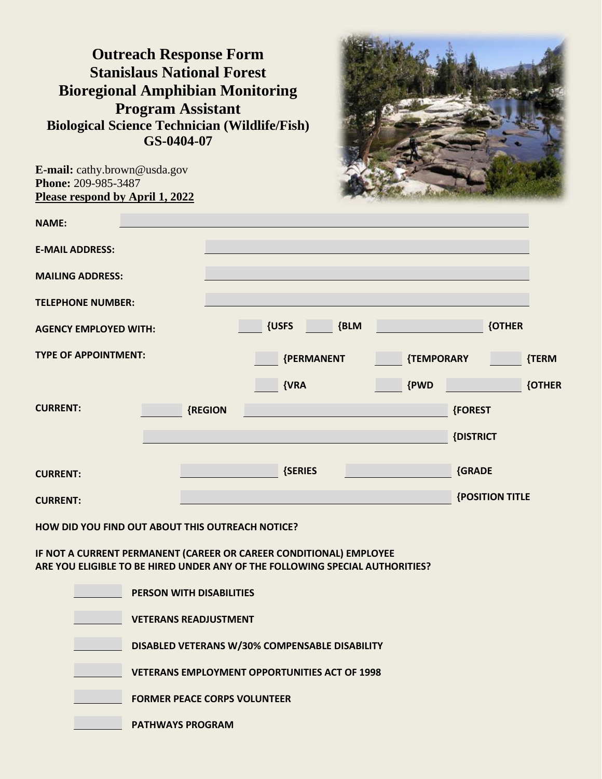**Outreach Response Form Stanislaus National Forest Bioregional Amphibian Monitoring Program Assistant Biological Science Technician (Wildlife/Fish) GS-0404-07**



**E-mail:** cathy.brown@usda.gov **Phone:** 209-985-3487 **Please respond by April 1, 2022**

| <b>NAME:</b>                 |         |               |            |                        |               |
|------------------------------|---------|---------------|------------|------------------------|---------------|
| <b>E-MAIL ADDRESS:</b>       |         |               |            |                        |               |
| <b>MAILING ADDRESS:</b>      |         |               |            |                        |               |
| <b>TELEPHONE NUMBER:</b>     |         |               |            |                        |               |
| <b>AGENCY EMPLOYED WITH:</b> |         | {USFS<br>{BLM |            | <b>{OTHER</b>          |               |
| <b>TYPE OF APPOINTMENT:</b>  |         | {PERMANENT    | {TEMPORARY |                        | {TERM         |
|                              |         | ${VRA}$       | {PWD       |                        | <b>{OTHER</b> |
| <b>CURRENT:</b>              | {REGION |               |            | <b>{FOREST</b>         |               |
|                              |         |               |            | {DISTRICT              |               |
| <b>CURRENT:</b>              |         | {SERIES       |            | {GRADE                 |               |
| <b>CURRENT:</b>              |         |               |            | <b>{POSITION TITLE</b> |               |

**HOW DID YOU FIND OUT ABOUT THIS OUTREACH NOTICE?**

**IF NOT A CURRENT PERMANENT (CAREER OR CAREER CONDITIONAL) EMPLOYEE ARE YOU ELIGIBLE TO BE HIRED UNDER ANY OF THE FOLLOWING SPECIAL AUTHORITIES?**

| <b>PERSON WITH DISABILITIES</b>                      |
|------------------------------------------------------|
| <b>VETERANS READJUSTMENT</b>                         |
| DISABLED VETERANS W/30% COMPENSABLE DISABILITY       |
| <b>VETERANS EMPLOYMENT OPPORTUNITIES ACT OF 1998</b> |
| <b>FORMER PEACE CORPS VOLUNTEER</b>                  |
| <b>PATHWAYS PROGRAM</b>                              |